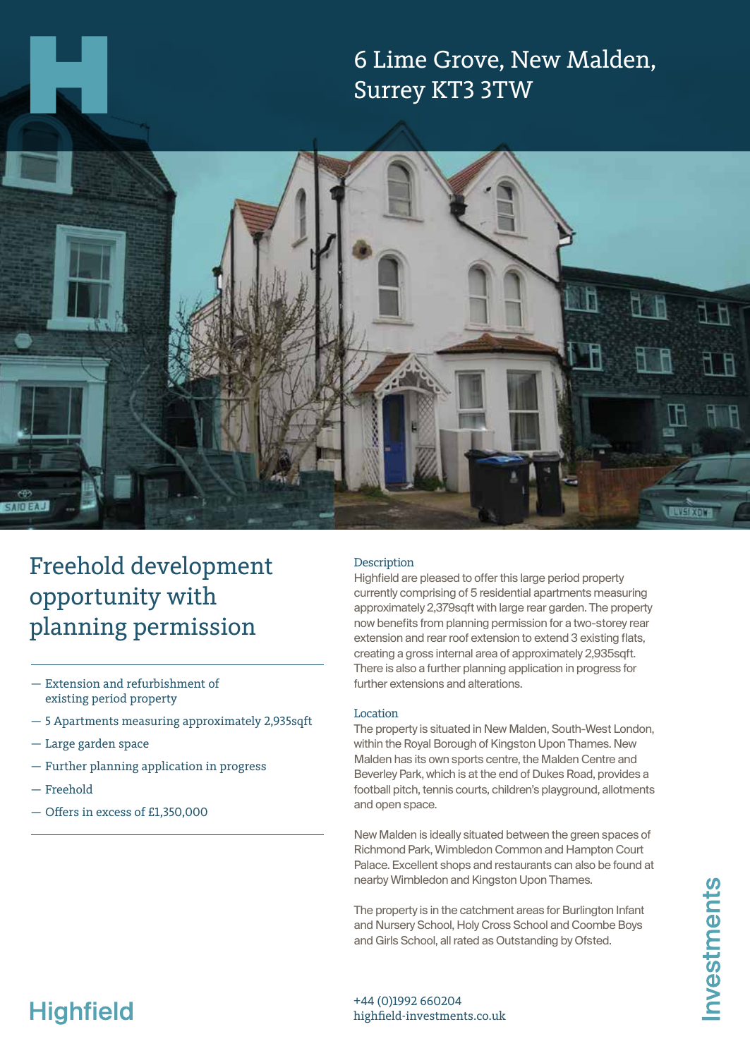



# Freehold development opportunity with planning permission

- Extension and refurbishment of existing period property
- 5 Apartments measuring approximately 2,935sqft
- Large garden space
- Further planning application in progress
- Freehold
- Offers in excess of £1,350,000

### Description

Highfield are pleased to offer this large period property currently comprising of 5 residential apartments measuring approximately 2,379sqft with large rear garden. The property now benefits from planning permission for a two-storey rear extension and rear roof extension to extend 3 existing flats, creating a gross internal area of approximately 2,935sqft. There is also a further planning application in progress for further extensions and alterations.

### Location

The property is situated in New Malden, South-West London, within the Royal Borough of Kingston Upon Thames. New Malden has its own sports centre, the Malden Centre and Beverley Park, which is at the end of Dukes Road, provides a football pitch, tennis courts, children's playground, allotments and open space.

New Malden is ideally situated between the green spaces of Richmond Park, Wimbledon Common and Hampton Court Palace. Excellent shops and restaurants can also be found at nearby Wimbledon and Kingston Upon Thames.

The property is in the catchment areas for Burlington Infant and Nursery School, Holy Cross School and Coombe Boys and Girls School, all rated as Outstanding by Ofsted.

# **Highfield**

+44 (0)1992 660204 highfield-investments.co.uk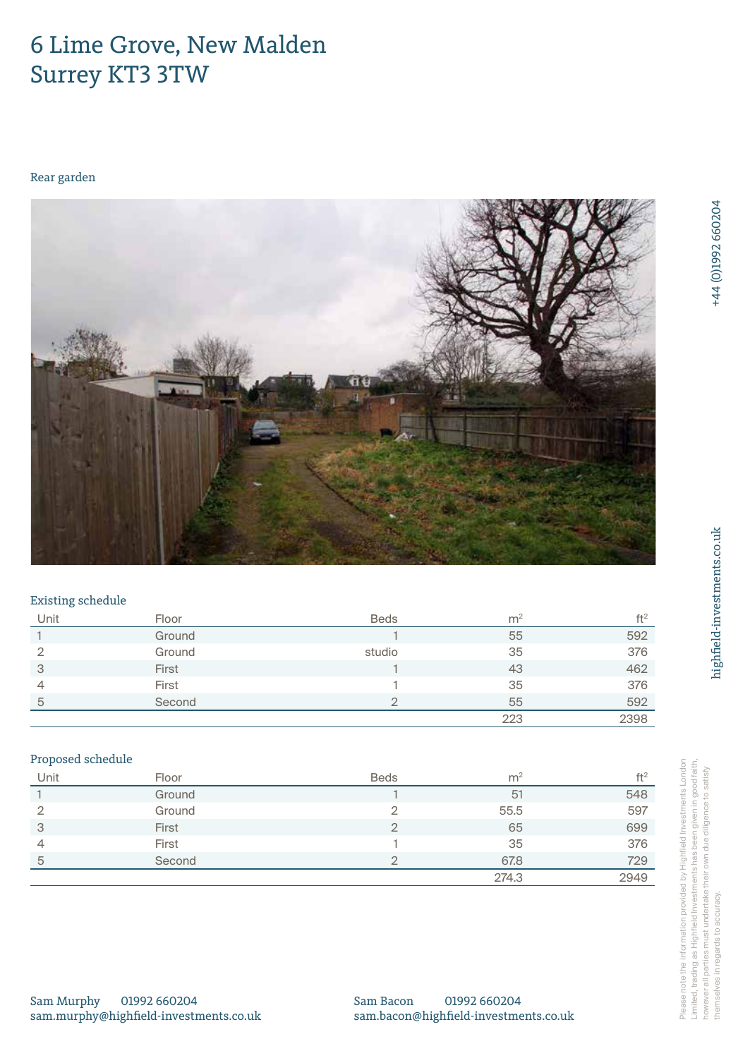# 6 Lime Grove, New Malden, Surrey KT3 3TW Surrey

# Rear garden



### Existing schedule

| Unit | Floor  | <b>Beds</b> | m <sup>2</sup> | ft <sup>2</sup> |
|------|--------|-------------|----------------|-----------------|
|      | Ground |             | 55             | 592             |
| ◠    | Ground | studio      | 35             | 376             |
| 3    | First  |             | 43             | 462             |
| 4    | First  |             | 35             | 376             |
| 5    | Second |             | 55             | 592             |
|      |        |             | 223            | 2398            |

### Proposed schedule

|                                        |        |                                       | 223            | 2398            |
|----------------------------------------|--------|---------------------------------------|----------------|-----------------|
| Proposed schedule                      |        |                                       |                |                 |
| Unit                                   | Floor  | <b>Beds</b>                           | m <sup>2</sup> | ft <sup>2</sup> |
|                                        | Ground |                                       | 51             | 548             |
| $\overline{2}$                         | Ground | $\overline{2}$                        | 55.5           | 597             |
| 3                                      | First  | $\overline{2}$                        | 65             | 699             |
| 4                                      | First  |                                       | 35             | 376             |
| $\overline{5}$                         | Second | $\overline{2}$                        | 67.8           | 729             |
|                                        |        |                                       | 274.3          | 2949            |
|                                        |        |                                       |                |                 |
|                                        |        |                                       |                |                 |
|                                        |        |                                       |                |                 |
|                                        |        |                                       |                |                 |
|                                        |        |                                       |                |                 |
| Sam Murphy<br>01992 660204             |        | Sam Bacon                             | 01992 660204   |                 |
| sam.murphy@highfield-investments.co.uk |        | sam.bacon@highfield-investments.co.uk |                |                 |

Sam Murphy 01992 660204 Sam Murphy 01992 660204<br>sam.murphy@highfield-investments.co.uk Please note the information provided by Highfield Investments London Limited, trading as Highfield Investments has been given in good faith, however all parties must undertake their own due diligence to satisfy themselves in regards to accuracy. Limited, trading as Highfield Investments has been given in good faith, however all parties must undertake their own due diligence to satisfy